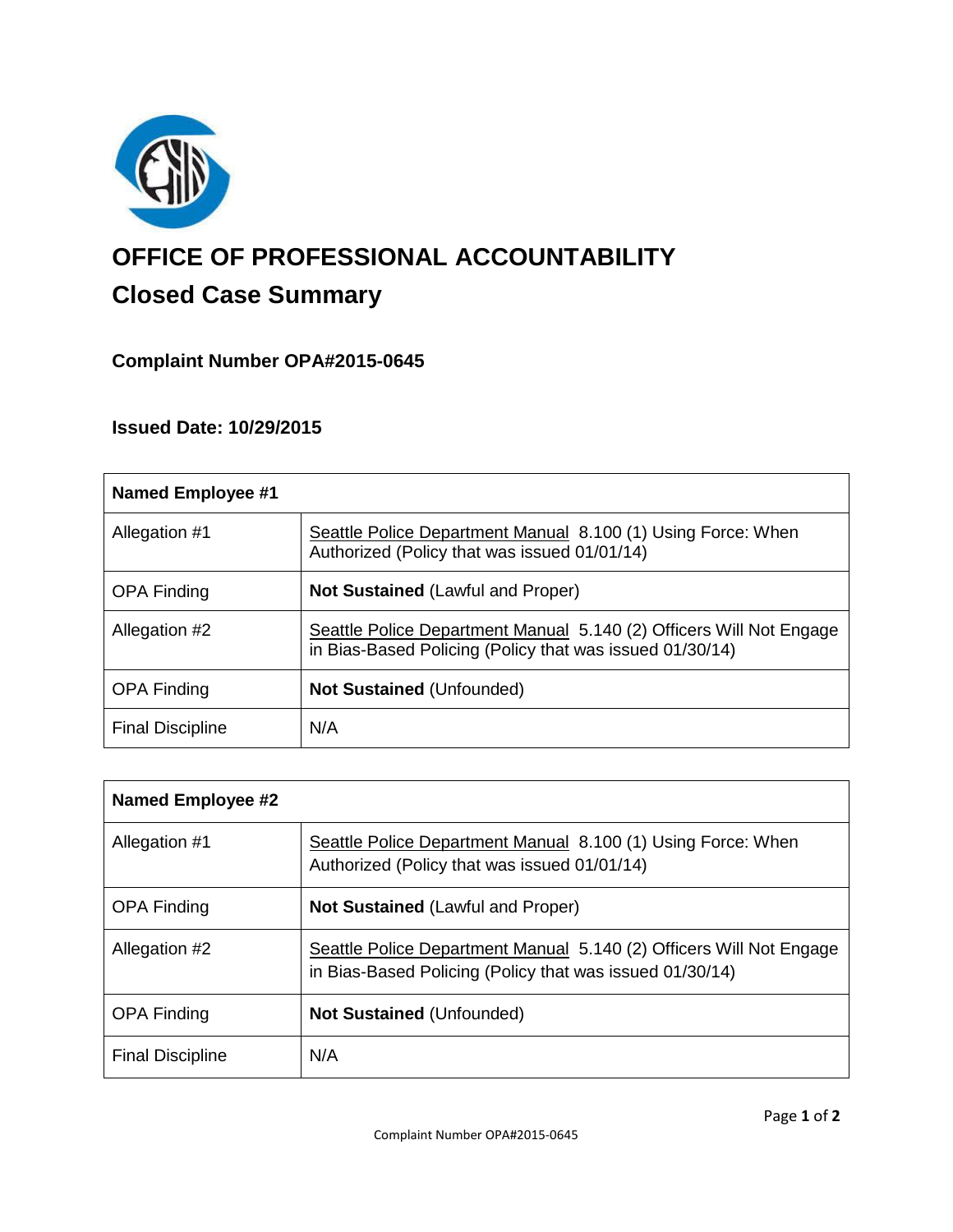

# **OFFICE OF PROFESSIONAL ACCOUNTABILITY Closed Case Summary**

# **Complaint Number OPA#2015-0645**

## **Issued Date: 10/29/2015**

| Named Employee #1       |                                                                                                                                 |
|-------------------------|---------------------------------------------------------------------------------------------------------------------------------|
| Allegation #1           | Seattle Police Department Manual 8.100 (1) Using Force: When<br>Authorized (Policy that was issued 01/01/14)                    |
| <b>OPA Finding</b>      | <b>Not Sustained (Lawful and Proper)</b>                                                                                        |
| Allegation #2           | Seattle Police Department Manual 5.140 (2) Officers Will Not Engage<br>in Bias-Based Policing (Policy that was issued 01/30/14) |
| <b>OPA Finding</b>      | <b>Not Sustained (Unfounded)</b>                                                                                                |
| <b>Final Discipline</b> | N/A                                                                                                                             |

| <b>Named Employee #2</b> |                                                                                                                                 |
|--------------------------|---------------------------------------------------------------------------------------------------------------------------------|
| Allegation #1            | Seattle Police Department Manual 8.100 (1) Using Force: When<br>Authorized (Policy that was issued 01/01/14)                    |
| <b>OPA Finding</b>       | <b>Not Sustained (Lawful and Proper)</b>                                                                                        |
| Allegation #2            | Seattle Police Department Manual 5.140 (2) Officers Will Not Engage<br>in Bias-Based Policing (Policy that was issued 01/30/14) |
| <b>OPA Finding</b>       | <b>Not Sustained (Unfounded)</b>                                                                                                |
| <b>Final Discipline</b>  | N/A                                                                                                                             |